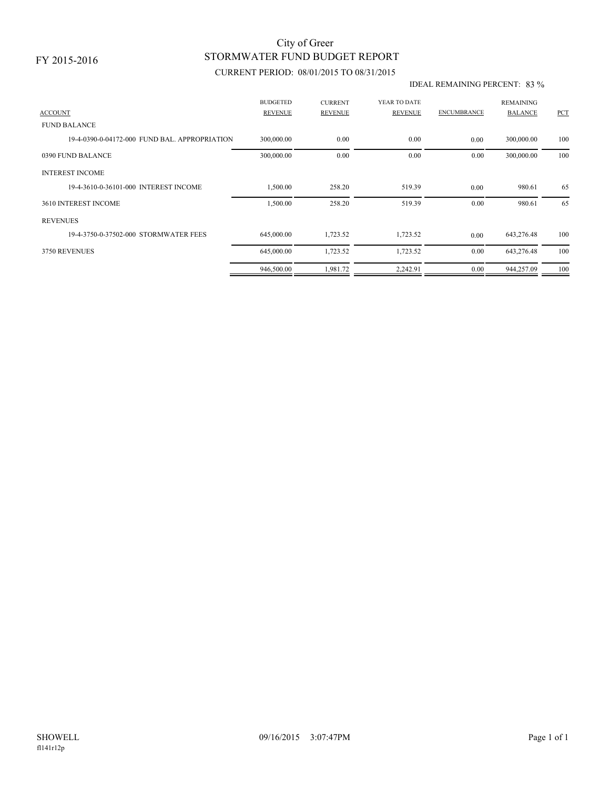## STORMWATER FUND BUDGET REPORT City of Greer

### CURRENT PERIOD: 08/01/2015 TO 08/31/2015

#### IDEAL REMAINING PERCENT: 83 %

| <b>ACCOUNT</b>                                | <b>BUDGETED</b><br><b>REVENUE</b> | <b>CURRENT</b><br><b>REVENUE</b> | YEAR TO DATE<br><b>REVENUE</b> | <b>ENCUMBRANCE</b> | <b>REMAINING</b><br><b>BALANCE</b> | PCT |
|-----------------------------------------------|-----------------------------------|----------------------------------|--------------------------------|--------------------|------------------------------------|-----|
| <b>FUND BALANCE</b>                           |                                   |                                  |                                |                    |                                    |     |
|                                               |                                   |                                  |                                |                    |                                    |     |
| 19-4-0390-0-04172-000 FUND BAL, APPROPRIATION | 300,000.00                        | 0.00                             | 0.00                           | 0.00               | 300,000.00                         | 100 |
| 0390 FUND BALANCE                             | 300,000.00                        | 0.00                             | 0.00                           | 0.00               | 300,000.00                         | 100 |
| <b>INTEREST INCOME</b>                        |                                   |                                  |                                |                    |                                    |     |
| 19-4-3610-0-36101-000 INTEREST INCOME         | 1,500.00                          | 258.20                           | 519.39                         | 0.00               | 980.61                             | 65  |
| 3610 INTEREST INCOME                          | 1,500.00                          | 258.20                           | 519.39                         | 0.00               | 980.61                             | 65  |
| <b>REVENUES</b>                               |                                   |                                  |                                |                    |                                    |     |
| 19-4-3750-0-37502-000 STORMWATER FEES         | 645,000.00                        | 1,723.52                         | 1,723.52                       | 0.00               | 643,276.48                         | 100 |
| 3750 REVENUES                                 | 645,000.00                        | 1,723.52                         | 1,723.52                       | 0.00               | 643,276.48                         | 100 |
|                                               | 946,500.00                        | 1,981.72                         | 2,242.91                       | 0.00               | 944,257.09                         | 100 |
|                                               |                                   |                                  |                                |                    |                                    |     |